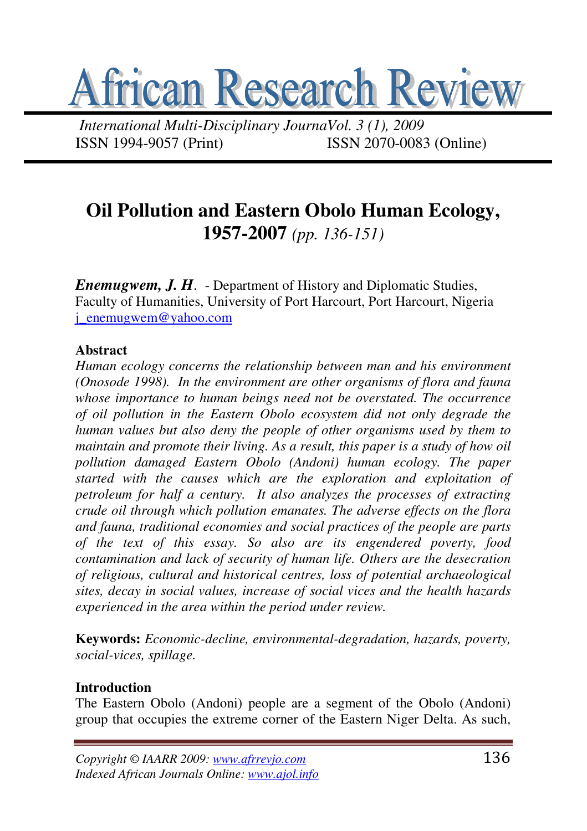

 *International Multi-Disciplinary JournaVol. 3 (1), 2009*  ISSN 1994-9057 (Print) ISSN 2070-0083 (Online)

# **Oil Pollution and Eastern Obolo Human Ecology, 1957-2007** *(pp. 136-151)*

*Enemugwem, J. H*. - Department of History and Diplomatic Studies, Faculty of Humanities, University of Port Harcourt, Port Harcourt, Nigeria j\_enemugwem@yahoo.com

#### **Abstract**

*Human ecology concerns the relationship between man and his environment (Onosode 1998). In the environment are other organisms of flora and fauna whose importance to human beings need not be overstated. The occurrence of oil pollution in the Eastern Obolo ecosystem did not only degrade the human values but also deny the people of other organisms used by them to maintain and promote their living. As a result, this paper is a study of how oil pollution damaged Eastern Obolo (Andoni) human ecology. The paper started with the causes which are the exploration and exploitation of petroleum for half a century. It also analyzes the processes of extracting crude oil through which pollution emanates. The adverse effects on the flora and fauna, traditional economies and social practices of the people are parts of the text of this essay. So also are its engendered poverty, food contamination and lack of security of human life. Others are the desecration of religious, cultural and historical centres, loss of potential archaeological sites, decay in social values, increase of social vices and the health hazards experienced in the area within the period under review.* 

**Keywords:** *Economic-decline, environmental-degradation, hazards, poverty, social-vices, spillage.* 

## **Introduction**

The Eastern Obolo (Andoni) people are a segment of the Obolo (Andoni) group that occupies the extreme corner of the Eastern Niger Delta. As such,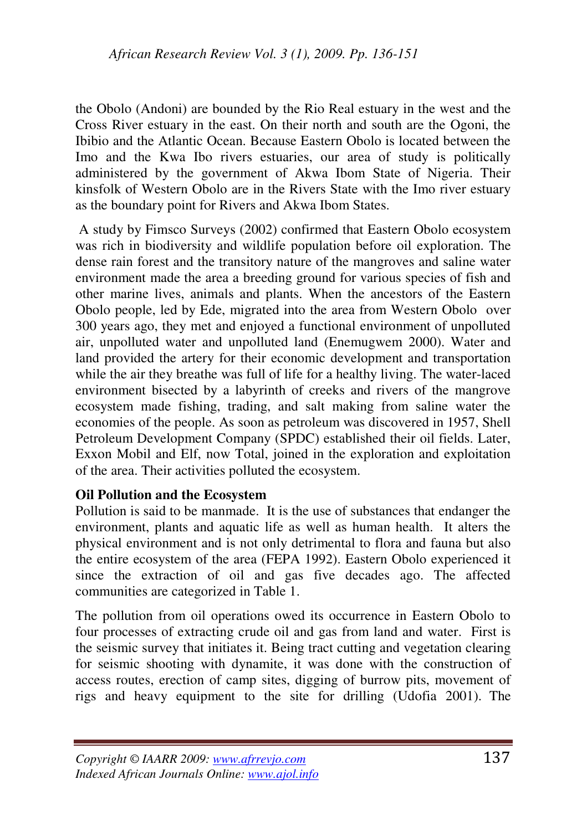the Obolo (Andoni) are bounded by the Rio Real estuary in the west and the Cross River estuary in the east. On their north and south are the Ogoni, the Ibibio and the Atlantic Ocean. Because Eastern Obolo is located between the Imo and the Kwa Ibo rivers estuaries, our area of study is politically administered by the government of Akwa Ibom State of Nigeria. Their kinsfolk of Western Obolo are in the Rivers State with the Imo river estuary as the boundary point for Rivers and Akwa Ibom States.

 A study by Fimsco Surveys (2002) confirmed that Eastern Obolo ecosystem was rich in biodiversity and wildlife population before oil exploration. The dense rain forest and the transitory nature of the mangroves and saline water environment made the area a breeding ground for various species of fish and other marine lives, animals and plants. When the ancestors of the Eastern Obolo people, led by Ede, migrated into the area from Western Obolo over 300 years ago, they met and enjoyed a functional environment of unpolluted air, unpolluted water and unpolluted land (Enemugwem 2000). Water and land provided the artery for their economic development and transportation while the air they breathe was full of life for a healthy living. The water-laced environment bisected by a labyrinth of creeks and rivers of the mangrove ecosystem made fishing, trading, and salt making from saline water the economies of the people. As soon as petroleum was discovered in 1957, Shell Petroleum Development Company (SPDC) established their oil fields. Later, Exxon Mobil and Elf, now Total, joined in the exploration and exploitation of the area. Their activities polluted the ecosystem.

## **Oil Pollution and the Ecosystem**

Pollution is said to be manmade. It is the use of substances that endanger the environment, plants and aquatic life as well as human health. It alters the physical environment and is not only detrimental to flora and fauna but also the entire ecosystem of the area (FEPA 1992). Eastern Obolo experienced it since the extraction of oil and gas five decades ago. The affected communities are categorized in Table 1.

The pollution from oil operations owed its occurrence in Eastern Obolo to four processes of extracting crude oil and gas from land and water. First is the seismic survey that initiates it. Being tract cutting and vegetation clearing for seismic shooting with dynamite, it was done with the construction of access routes, erection of camp sites, digging of burrow pits, movement of rigs and heavy equipment to the site for drilling (Udofia 2001). The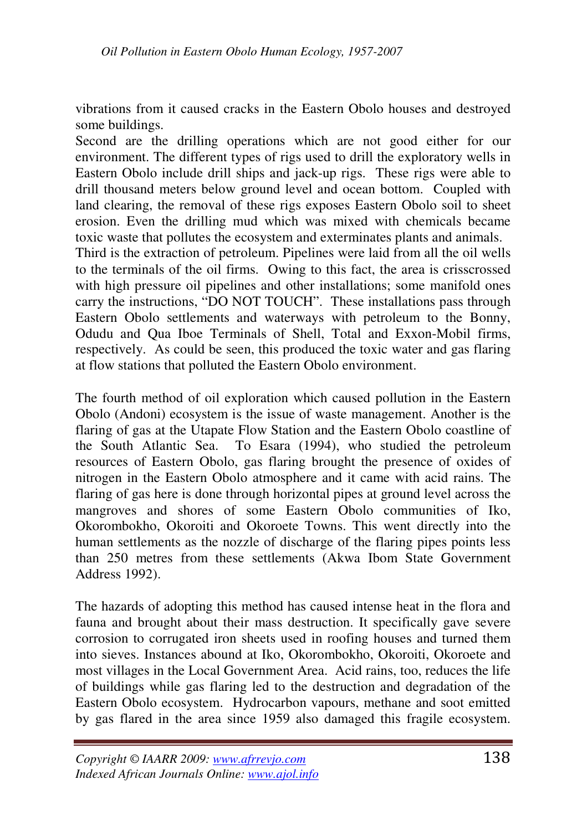vibrations from it caused cracks in the Eastern Obolo houses and destroyed some buildings.

Second are the drilling operations which are not good either for our environment. The different types of rigs used to drill the exploratory wells in Eastern Obolo include drill ships and jack-up rigs. These rigs were able to drill thousand meters below ground level and ocean bottom. Coupled with land clearing, the removal of these rigs exposes Eastern Obolo soil to sheet erosion. Even the drilling mud which was mixed with chemicals became toxic waste that pollutes the ecosystem and exterminates plants and animals. Third is the extraction of petroleum. Pipelines were laid from all the oil wells to the terminals of the oil firms. Owing to this fact, the area is crisscrossed with high pressure oil pipelines and other installations; some manifold ones carry the instructions, "DO NOT TOUCH". These installations pass through Eastern Obolo settlements and waterways with petroleum to the Bonny, Odudu and Qua Iboe Terminals of Shell, Total and Exxon-Mobil firms, respectively. As could be seen, this produced the toxic water and gas flaring at flow stations that polluted the Eastern Obolo environment.

The fourth method of oil exploration which caused pollution in the Eastern Obolo (Andoni) ecosystem is the issue of waste management. Another is the flaring of gas at the Utapate Flow Station and the Eastern Obolo coastline of the South Atlantic Sea. To Esara (1994), who studied the petroleum resources of Eastern Obolo, gas flaring brought the presence of oxides of nitrogen in the Eastern Obolo atmosphere and it came with acid rains. The flaring of gas here is done through horizontal pipes at ground level across the mangroves and shores of some Eastern Obolo communities of Iko, Okorombokho, Okoroiti and Okoroete Towns. This went directly into the human settlements as the nozzle of discharge of the flaring pipes points less than 250 metres from these settlements (Akwa Ibom State Government Address 1992).

The hazards of adopting this method has caused intense heat in the flora and fauna and brought about their mass destruction. It specifically gave severe corrosion to corrugated iron sheets used in roofing houses and turned them into sieves. Instances abound at Iko, Okorombokho, Okoroiti, Okoroete and most villages in the Local Government Area. Acid rains, too, reduces the life of buildings while gas flaring led to the destruction and degradation of the Eastern Obolo ecosystem. Hydrocarbon vapours, methane and soot emitted by gas flared in the area since 1959 also damaged this fragile ecosystem.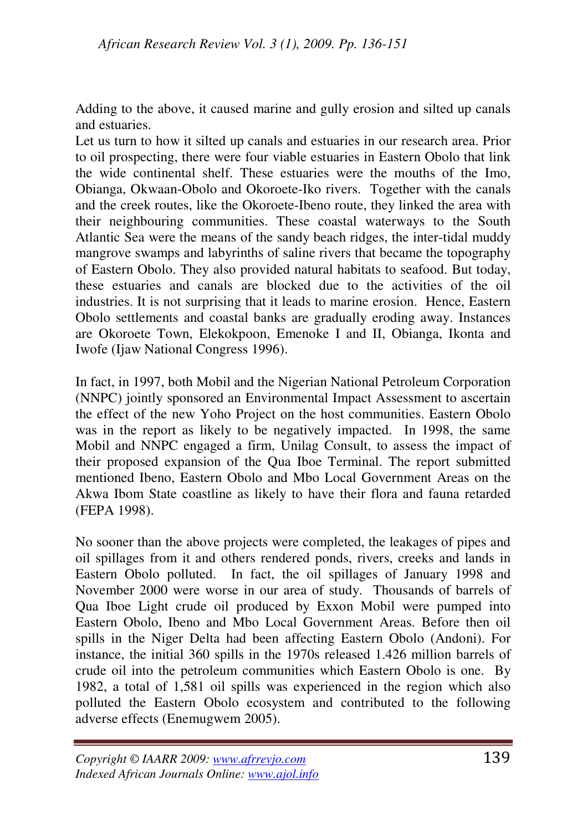Adding to the above, it caused marine and gully erosion and silted up canals and estuaries.

Let us turn to how it silted up canals and estuaries in our research area. Prior to oil prospecting, there were four viable estuaries in Eastern Obolo that link the wide continental shelf. These estuaries were the mouths of the Imo, Obianga, Okwaan-Obolo and Okoroete-Iko rivers. Together with the canals and the creek routes, like the Okoroete-Ibeno route, they linked the area with their neighbouring communities. These coastal waterways to the South Atlantic Sea were the means of the sandy beach ridges, the inter-tidal muddy mangrove swamps and labyrinths of saline rivers that became the topography of Eastern Obolo. They also provided natural habitats to seafood. But today, these estuaries and canals are blocked due to the activities of the oil industries. It is not surprising that it leads to marine erosion. Hence, Eastern Obolo settlements and coastal banks are gradually eroding away. Instances are Okoroete Town, Elekokpoon, Emenoke I and II, Obianga, Ikonta and Iwofe (Ijaw National Congress 1996).

In fact, in 1997, both Mobil and the Nigerian National Petroleum Corporation (NNPC) jointly sponsored an Environmental Impact Assessment to ascertain the effect of the new Yoho Project on the host communities. Eastern Obolo was in the report as likely to be negatively impacted. In 1998, the same Mobil and NNPC engaged a firm, Unilag Consult, to assess the impact of their proposed expansion of the Qua Iboe Terminal. The report submitted mentioned Ibeno, Eastern Obolo and Mbo Local Government Areas on the Akwa Ibom State coastline as likely to have their flora and fauna retarded (FEPA 1998).

No sooner than the above projects were completed, the leakages of pipes and oil spillages from it and others rendered ponds, rivers, creeks and lands in Eastern Obolo polluted. In fact, the oil spillages of January 1998 and November 2000 were worse in our area of study. Thousands of barrels of Qua Iboe Light crude oil produced by Exxon Mobil were pumped into Eastern Obolo, Ibeno and Mbo Local Government Areas. Before then oil spills in the Niger Delta had been affecting Eastern Obolo (Andoni). For instance, the initial 360 spills in the 1970s released 1.426 million barrels of crude oil into the petroleum communities which Eastern Obolo is one. By 1982, a total of 1,581 oil spills was experienced in the region which also polluted the Eastern Obolo ecosystem and contributed to the following adverse effects (Enemugwem 2005).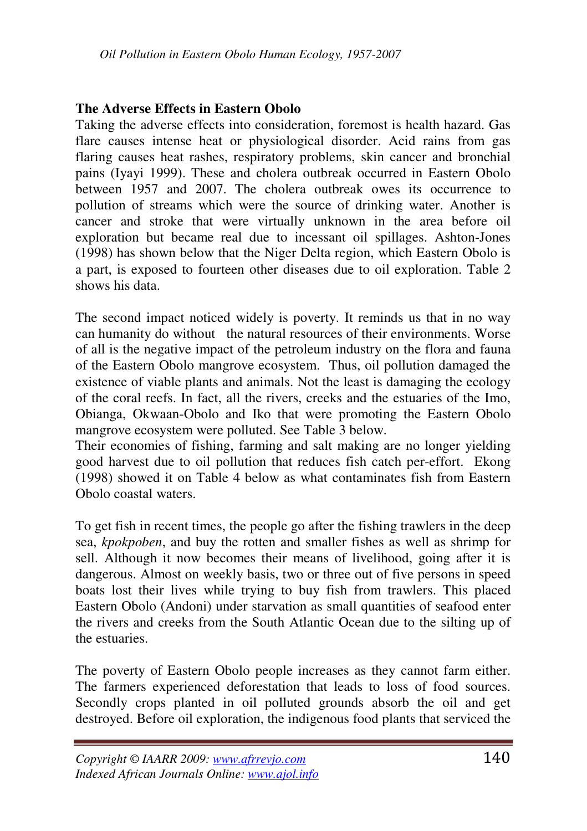## **The Adverse Effects in Eastern Obolo**

Taking the adverse effects into consideration, foremost is health hazard. Gas flare causes intense heat or physiological disorder. Acid rains from gas flaring causes heat rashes, respiratory problems, skin cancer and bronchial pains (Iyayi 1999). These and cholera outbreak occurred in Eastern Obolo between 1957 and 2007. The cholera outbreak owes its occurrence to pollution of streams which were the source of drinking water. Another is cancer and stroke that were virtually unknown in the area before oil exploration but became real due to incessant oil spillages. Ashton-Jones (1998) has shown below that the Niger Delta region, which Eastern Obolo is a part, is exposed to fourteen other diseases due to oil exploration. Table 2 shows his data.

The second impact noticed widely is poverty. It reminds us that in no way can humanity do without the natural resources of their environments. Worse of all is the negative impact of the petroleum industry on the flora and fauna of the Eastern Obolo mangrove ecosystem. Thus, oil pollution damaged the existence of viable plants and animals. Not the least is damaging the ecology of the coral reefs. In fact, all the rivers, creeks and the estuaries of the Imo, Obianga, Okwaan-Obolo and Iko that were promoting the Eastern Obolo mangrove ecosystem were polluted. See Table 3 below.

Their economies of fishing, farming and salt making are no longer yielding good harvest due to oil pollution that reduces fish catch per-effort. Ekong (1998) showed it on Table 4 below as what contaminates fish from Eastern Obolo coastal waters.

To get fish in recent times, the people go after the fishing trawlers in the deep sea, *kpokpoben*, and buy the rotten and smaller fishes as well as shrimp for sell. Although it now becomes their means of livelihood, going after it is dangerous. Almost on weekly basis, two or three out of five persons in speed boats lost their lives while trying to buy fish from trawlers. This placed Eastern Obolo (Andoni) under starvation as small quantities of seafood enter the rivers and creeks from the South Atlantic Ocean due to the silting up of the estuaries.

The poverty of Eastern Obolo people increases as they cannot farm either. The farmers experienced deforestation that leads to loss of food sources. Secondly crops planted in oil polluted grounds absorb the oil and get destroyed. Before oil exploration, the indigenous food plants that serviced the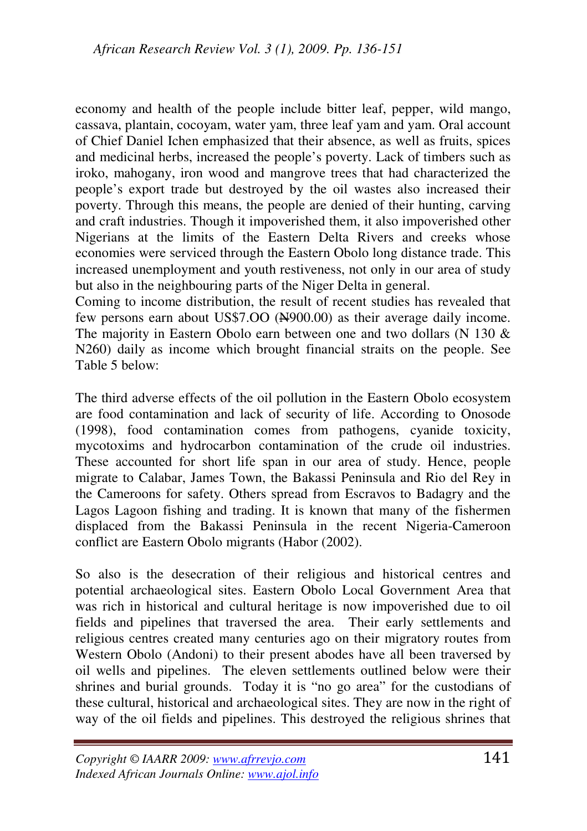economy and health of the people include bitter leaf, pepper, wild mango, cassava, plantain, cocoyam, water yam, three leaf yam and yam. Oral account of Chief Daniel Ichen emphasized that their absence, as well as fruits, spices and medicinal herbs, increased the people's poverty. Lack of timbers such as iroko, mahogany, iron wood and mangrove trees that had characterized the people's export trade but destroyed by the oil wastes also increased their poverty. Through this means, the people are denied of their hunting, carving and craft industries. Though it impoverished them, it also impoverished other Nigerians at the limits of the Eastern Delta Rivers and creeks whose economies were serviced through the Eastern Obolo long distance trade. This increased unemployment and youth restiveness, not only in our area of study but also in the neighbouring parts of the Niger Delta in general.

Coming to income distribution, the result of recent studies has revealed that few persons earn about US\$7.00  $(\frac{N900.00}{N900.00})$  as their average daily income. The majority in Eastern Obolo earn between one and two dollars (N 130 & N260) daily as income which brought financial straits on the people. See Table 5 below:

The third adverse effects of the oil pollution in the Eastern Obolo ecosystem are food contamination and lack of security of life. According to Onosode (1998), food contamination comes from pathogens, cyanide toxicity, mycotoxims and hydrocarbon contamination of the crude oil industries. These accounted for short life span in our area of study. Hence, people migrate to Calabar, James Town, the Bakassi Peninsula and Rio del Rey in the Cameroons for safety. Others spread from Escravos to Badagry and the Lagos Lagoon fishing and trading. It is known that many of the fishermen displaced from the Bakassi Peninsula in the recent Nigeria-Cameroon conflict are Eastern Obolo migrants (Habor (2002).

So also is the desecration of their religious and historical centres and potential archaeological sites. Eastern Obolo Local Government Area that was rich in historical and cultural heritage is now impoverished due to oil fields and pipelines that traversed the area. Their early settlements and religious centres created many centuries ago on their migratory routes from Western Obolo (Andoni) to their present abodes have all been traversed by oil wells and pipelines. The eleven settlements outlined below were their shrines and burial grounds. Today it is "no go area" for the custodians of these cultural, historical and archaeological sites. They are now in the right of way of the oil fields and pipelines. This destroyed the religious shrines that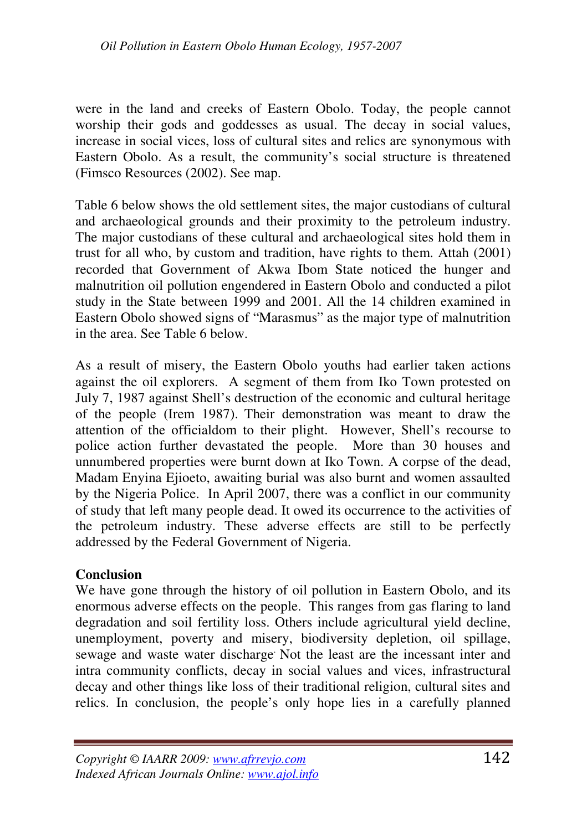were in the land and creeks of Eastern Obolo. Today, the people cannot worship their gods and goddesses as usual. The decay in social values, increase in social vices, loss of cultural sites and relics are synonymous with Eastern Obolo. As a result, the community's social structure is threatened (Fimsco Resources (2002). See map.

Table 6 below shows the old settlement sites, the major custodians of cultural and archaeological grounds and their proximity to the petroleum industry. The major custodians of these cultural and archaeological sites hold them in trust for all who, by custom and tradition, have rights to them. Attah (2001) recorded that Government of Akwa Ibom State noticed the hunger and malnutrition oil pollution engendered in Eastern Obolo and conducted a pilot study in the State between 1999 and 2001. All the 14 children examined in Eastern Obolo showed signs of "Marasmus" as the major type of malnutrition in the area. See Table 6 below.

As a result of misery, the Eastern Obolo youths had earlier taken actions against the oil explorers. A segment of them from Iko Town protested on July 7, 1987 against Shell's destruction of the economic and cultural heritage of the people (Irem 1987). Their demonstration was meant to draw the attention of the officialdom to their plight. However, Shell's recourse to police action further devastated the people. More than 30 houses and unnumbered properties were burnt down at Iko Town. A corpse of the dead, Madam Enyina Ejioeto, awaiting burial was also burnt and women assaulted by the Nigeria Police. In April 2007, there was a conflict in our community of study that left many people dead. It owed its occurrence to the activities of the petroleum industry. These adverse effects are still to be perfectly addressed by the Federal Government of Nigeria.

#### **Conclusion**

We have gone through the history of oil pollution in Eastern Obolo, and its enormous adverse effects on the people. This ranges from gas flaring to land degradation and soil fertility loss. Others include agricultural yield decline, unemployment, poverty and misery, biodiversity depletion, oil spillage, sewage and waste water discharge. Not the least are the incessant inter and intra community conflicts, decay in social values and vices, infrastructural decay and other things like loss of their traditional religion, cultural sites and relics. In conclusion, the people's only hope lies in a carefully planned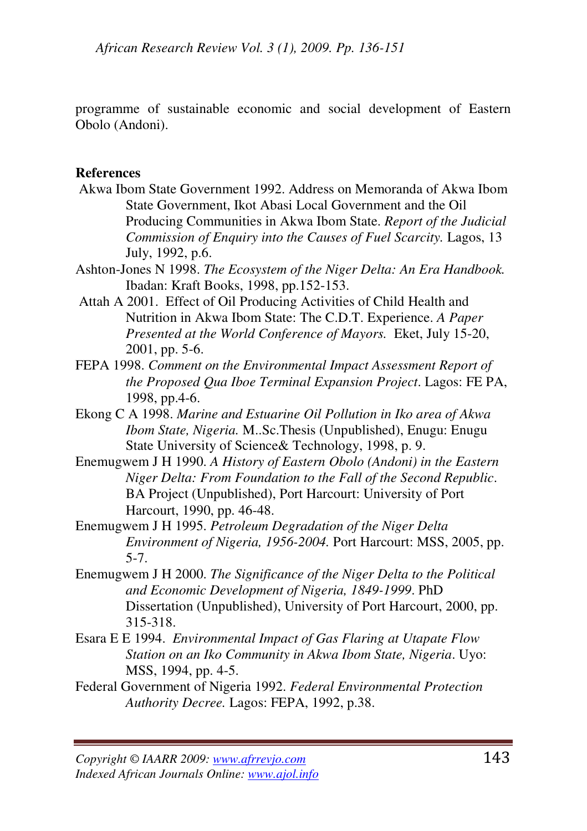programme of sustainable economic and social development of Eastern Obolo (Andoni).

#### **References**

- Akwa Ibom State Government 1992. Address on Memoranda of Akwa Ibom State Government, Ikot Abasi Local Government and the Oil Producing Communities in Akwa Ibom State. *Report of the Judicial Commission of Enquiry into the Causes of Fuel Scarcity.* Lagos, 13 July, 1992, p.6.
- Ashton-Jones N 1998. *The Ecosystem of the Niger Delta: An Era Handbook.*  Ibadan: Kraft Books, 1998, pp.152-153.
- Attah A 2001. Effect of Oil Producing Activities of Child Health and Nutrition in Akwa Ibom State: The C.D.T. Experience. *A Paper Presented at the World Conference of Mayors.* Eket, July 15-20, 2001, pp. 5-6.
- FEPA 1998. *Comment on the Environmental Impact Assessment Report of the Proposed Qua Iboe Terminal Expansion Project*. Lagos: FE PA, 1998, pp.4-6.
- Ekong C A 1998. *Marine and Estuarine Oil Pollution in Iko area of Akwa Ibom State, Nigeria.* M..Sc.Thesis (Unpublished), Enugu: Enugu State University of Science& Technology, 1998, p. 9.
- Enemugwem J H 1990. *A History of Eastern Obolo (Andoni) in the Eastern Niger Delta: From Foundation to the Fall of the Second Republic*. BA Project (Unpublished), Port Harcourt: University of Port Harcourt, 1990, pp. 46-48.
- Enemugwem J H 1995. *Petroleum Degradation of the Niger Delta Environment of Nigeria, 1956-2004.* Port Harcourt: MSS, 2005, pp. 5-7.
- Enemugwem J H 2000. *The Significance of the Niger Delta to the Political and Economic Development of Nigeria, 1849-1999*. PhD Dissertation (Unpublished), University of Port Harcourt, 2000, pp. 315-318.
- Esara E E 1994. *Environmental Impact of Gas Flaring at Utapate Flow Station on an Iko Community in Akwa Ibom State, Nigeria*. Uyo: MSS, 1994, pp. 4-5.
- Federal Government of Nigeria 1992. *Federal Environmental Protection Authority Decree.* Lagos: FEPA, 1992, p.38.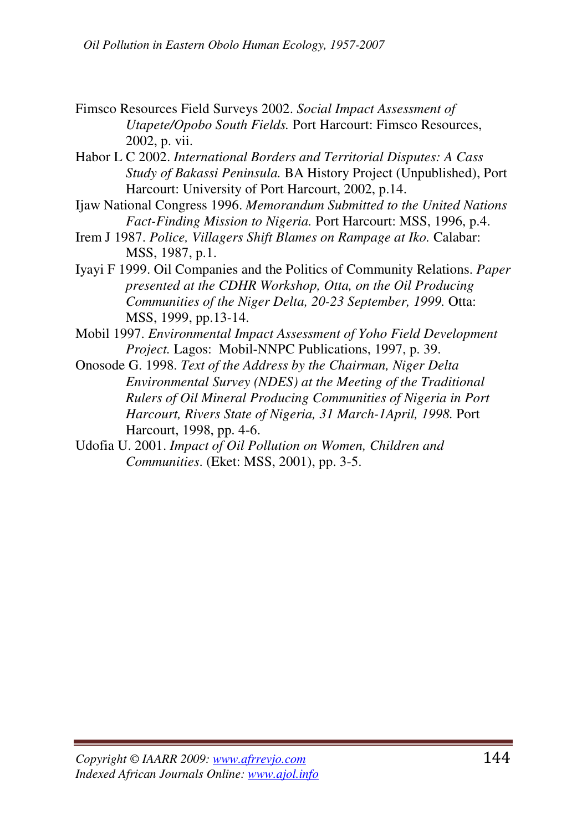- Fimsco Resources Field Surveys 2002. *Social Impact Assessment of Utapete/Opobo South Fields.* Port Harcourt: Fimsco Resources, 2002, p. vii.
- Habor L C 2002. *International Borders and Territorial Disputes: A Cass Study of Bakassi Peninsula.* BA History Project (Unpublished), Port Harcourt: University of Port Harcourt, 2002, p.14.
- Ijaw National Congress 1996. *Memorandum Submitted to the United Nations Fact-Finding Mission to Nigeria.* Port Harcourt: MSS, 1996, p.4.
- Irem J 1987. *Police, Villagers Shift Blames on Rampage at Iko.* Calabar: MSS, 1987, p.1.
- Iyayi F 1999. Oil Companies and the Politics of Community Relations. *Paper presented at the CDHR Workshop, Otta, on the Oil Producing Communities of the Niger Delta, 20-23 September, 1999.* Otta: MSS, 1999, pp.13-14.
- Mobil 1997. *Environmental Impact Assessment of Yoho Field Development Project.* Lagos: Mobil-NNPC Publications, 1997, p. 39.
- Onosode G. 1998. *Text of the Address by the Chairman, Niger Delta Environmental Survey (NDES) at the Meeting of the Traditional Rulers of Oil Mineral Producing Communities of Nigeria in Port Harcourt, Rivers State of Nigeria, 31 March-1April, 1998.* Port Harcourt, 1998, pp. 4-6.
- Udofia U. 2001. *Impact of Oil Pollution on Women, Children and Communities*. (Eket: MSS, 2001), pp. 3-5.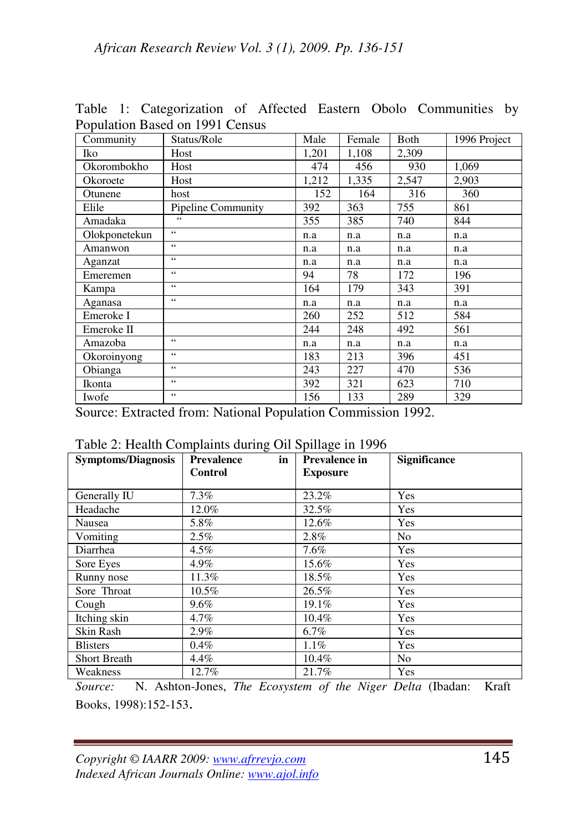| Community     | Status/Role               | Male  | Female | Both  | 1996 Project |
|---------------|---------------------------|-------|--------|-------|--------------|
| Iko           | Host                      | 1,201 | 1,108  | 2,309 |              |
| Okorombokho   | Host                      | 474   | 456    | 930   | 1,069        |
| Okoroete      | Host                      | 1,212 | 1,335  | 2,547 | 2,903        |
| Otunene       | host                      | 152   | 164    | 316   | 360          |
| Elile         | <b>Pipeline Community</b> | 392   | 363    | 755   | 861          |
| Amadaka       | $\zeta$ $\zeta$           | 355   | 385    | 740   | 844          |
| Olokponetekun | $\zeta$ $\zeta$           | n.a   | n.a    | n.a   | n.a          |
| Amanwon       | $\zeta$ $\zeta$           | n.a   | n.a    | n.a   | n.a          |
| Aganzat       | $\zeta\,\zeta$            | n.a   | n.a    | n.a   | n.a          |
| Emeremen      | $\zeta$ $\zeta$           | 94    | 78     | 172   | 196          |
| Kampa         | $\zeta\,\zeta$            | 164   | 179    | 343   | 391          |
| Aganasa       | $\epsilon$                | n.a   | n.a    | n.a   | n.a          |
| Emeroke I     |                           | 260   | 252    | 512   | 584          |
| Emeroke II    |                           | 244   | 248    | 492   | 561          |
| Amazoba       | $\zeta$ $\zeta$           | n.a   | n.a    | n.a   | n.a          |
| Okoroinyong   | $\zeta$ $\zeta$           | 183   | 213    | 396   | 451          |
| Obianga       | $\zeta\,\zeta$            | 243   | 227    | 470   | 536          |
| Ikonta        | $\zeta\,\zeta$            | 392   | 321    | 623   | 710          |
| Iwofe         | $\zeta$ $\zeta$           | 156   | 133    | 289   | 329          |

Table 1: Categorization of Affected Eastern Obolo Communities by Population Based on 1991 Census

Source: Extracted from: National Population Commission 1992.

| <b>Symptoms/Diagnosis</b> | <b>Prevalence</b><br>in | <b>Prevalence in</b> | <b>Significance</b> |
|---------------------------|-------------------------|----------------------|---------------------|
|                           | Control                 | <b>Exposure</b>      |                     |
|                           |                         |                      |                     |
| Generally IU              | 7.3%                    | 23.2%                | Yes                 |
| Headache                  | 12.0%                   | 32.5%                | Yes                 |
| Nausea                    | 5.8%                    | 12.6%                | Yes                 |
| Vomiting                  | 2.5%                    | 2.8%                 | N <sub>o</sub>      |
| Diarrhea                  | 4.5%                    | 7.6%                 | Yes                 |
| Sore Eyes                 | 4.9%                    | 15.6%                | Yes                 |
| Runny nose                | 11.3%                   | 18.5%                | Yes                 |
| Sore Throat               | 10.5%                   | 26.5%                | Yes                 |
| Cough                     | 9.6%                    | 19.1%                | Yes                 |
| Itching skin              | 4.7%                    | 10.4%                | Yes                 |
| Skin Rash                 | 2.9%                    | $6.7\%$              | Yes                 |
| <b>Blisters</b>           | 0.4%                    | $1.1\%$              | Yes                 |
| <b>Short Breath</b>       | 4.4%                    | 10.4%                | N <sub>o</sub>      |
| Weakness                  | 12.7%                   | 21.7%                | Yes                 |

Table 2: Health Complaints during Oil Spillage in 1996

*Source:* N. Ashton-Jones, *The Ecosystem of the Niger Delta* (Ibadan: Kraft Books, 1998):152-153.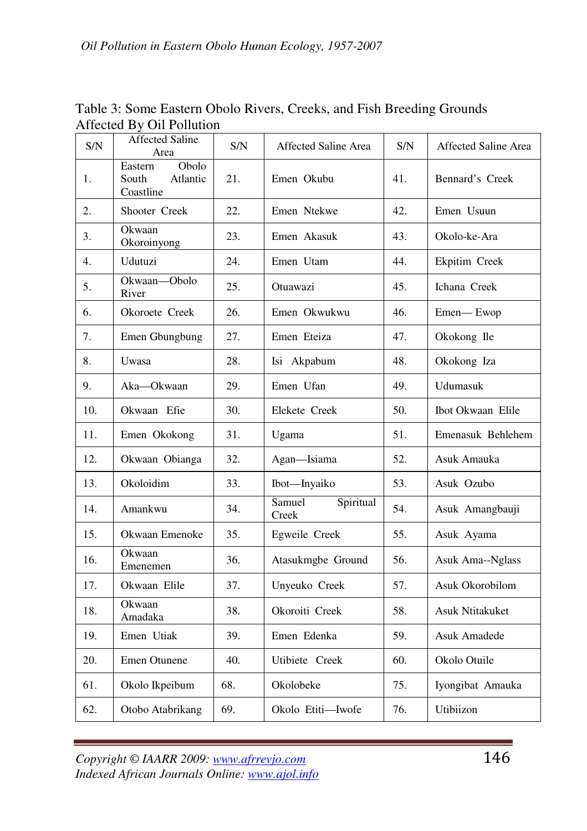| S/N              | <b>Affected Saline</b><br>Area                     | S/N | Affected Saline Area         | S/N | Affected Saline Area |
|------------------|----------------------------------------------------|-----|------------------------------|-----|----------------------|
| 1.               | Eastern<br>Obolo<br>Atlantic<br>South<br>Coastline | 21. | Emen Okubu                   | 41. | Bennard's Creek      |
| $\overline{2}$ . | Shooter Creek                                      | 22. | Emen Ntekwe                  | 42. | Emen Usuun           |
| 3.               | Okwaan<br>Okoroinyong                              | 23. | Emen Akasuk                  | 43. | Okolo-ke-Ara         |
| $\overline{4}$ . | Udutuzi                                            | 24. | Emen Utam                    | 44. | Ekpitim Creek        |
| 5.               | Okwaan-Obolo<br>River                              | 25. | Otuawazi                     | 45. | Ichana Creek         |
| 6.               | Okoroete Creek                                     | 26. | Emen Okwukwu                 | 46. | Emen-Ewop            |
| 7.               | Emen Gbungbung                                     | 27. | Emen Eteiza                  | 47. | Okokong Ile          |
| 8.               | Uwasa                                              | 28. | Isi Akpabum                  | 48. | Okokong Iza          |
| 9.               | Aka-Okwaan                                         | 29. | Emen Ufan                    | 49. | Udumasuk             |
| 10.              | Okwaan Efie                                        | 30. | Elekete Creek                | 50. | Ibot Okwaan Elile    |
| 11.              | Emen Okokong                                       | 31. | Ugama                        | 51. | Emenasuk Behlehem    |
| 12.              | Okwaan Obianga                                     | 32. | Agan-Isiama                  | 52. | Asuk Amauka          |
| 13.              | Okoloidim                                          | 33. | Ibot-Inyaiko                 | 53. | Asuk Ozubo           |
| 14.              | Amankwu                                            | 34. | Samuel<br>Spiritual<br>Creek | 54. | Asuk Amangbauji      |
| 15.              | Okwaan Emenoke                                     | 35. | Egweile Creek                | 55. | Asuk Ayama           |
| 16.              | Okwaan<br>Emenemen                                 | 36. | Atasukmgbe Ground            | 56. | Asuk Ama--Nglass     |
| 17.              | Okwaan Elile                                       | 37. | Unyeuko Creek                | 57. | Asuk Okorobilom      |
| 18.              | Okwaan<br>Amadaka                                  | 38. | Okoroiti Creek               | 58. | Asuk Ntitakuket      |
| 19.              | Emen Utiak                                         | 39. | Emen Edenka                  | 59. | Asuk Amadede         |
| 20.              | Emen Otunene                                       | 40. | Utibiete Creek               | 60. | Okolo Otuile         |
| 61.              | Okolo Ikpeibum                                     | 68. | Okolobeke                    | 75. | Iyongibat Amauka     |
| 62.              | Otobo Atabrikang                                   | 69. | Okolo Etiti-Iwofe            | 76. | Utibiizon            |

Table 3: Some Eastern Obolo Rivers, Creeks, and Fish Breeding Grounds Affected By Oil Pollution

*Copyright © IAARR 2009: www.afrrevjo.com* 146 *Indexed African Journals Online: www.ajol.info*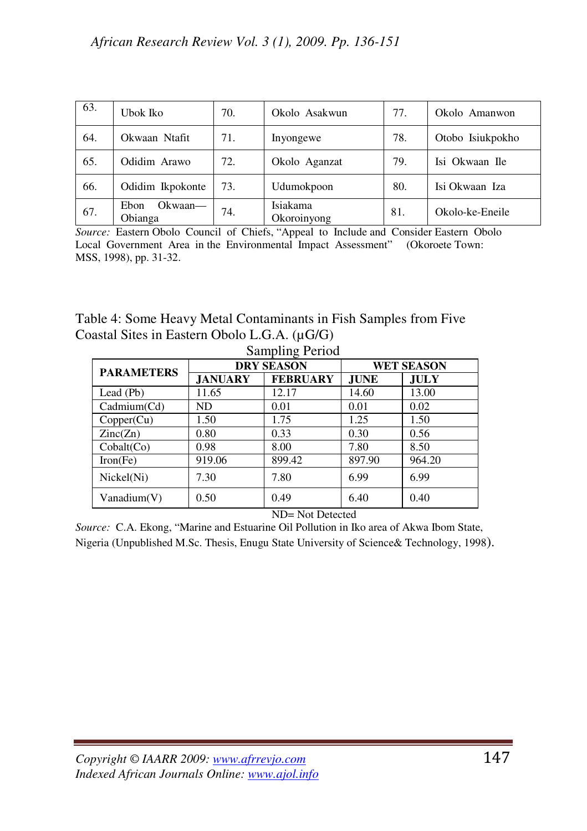| 63. | Ubok Iko                   | 70. | Okolo Asakwun           | 77. | Okolo Amanwon    |
|-----|----------------------------|-----|-------------------------|-----|------------------|
| 64. | Okwaan Ntafit              | 71. | Inyongewe               | 78. | Otobo Isiukpokho |
| 65. | Odidim Arawo               | 72. | Okolo Aganzat           | 79. | Isi Okwaan Ile   |
| 66. | Odidim Ikpokonte           | 73. | Udumokpoon              | 80. | Isi Okwaan Iza   |
| 67. | Ebon<br>Okwaan—<br>Obianga | 74. | Isiakama<br>Okoroinyong | 81. | Okolo-ke-Eneile  |

*Source:* Eastern Obolo Council of Chiefs, "Appeal to Include and Consider Eastern Obolo Local Government Area in the Environmental Impact Assessment" (Okoroete Town: MSS, 1998), pp. 31-32.

Table 4: Some Heavy Metal Contaminants in Fish Samples from Five Coastal Sites in Eastern Obolo L.G.A. (µG/G)

| Sampling Period   |                |                   |                   |             |  |  |
|-------------------|----------------|-------------------|-------------------|-------------|--|--|
| <b>PARAMETERS</b> |                | <b>DRY SEASON</b> | <b>WET SEASON</b> |             |  |  |
|                   | <b>JANUARY</b> | <b>FEBRUARY</b>   | <b>JUNE</b>       | <b>JULY</b> |  |  |
| Lead (Pb)         | 11.65          | 12.17             | 14.60             | 13.00       |  |  |
| Cadmium(Cd)       | ND.            | 0.01              | 0.01              | 0.02        |  |  |
| Copper(Cu)        | 1.50           | 1.75              | 1.25              | 1.50        |  |  |
| Zinc(Zn)          | 0.80           | 0.33              | 0.30              | 0.56        |  |  |
| Cobalt(Co)        | 0.98           | 8.00              | 7.80              | 8.50        |  |  |
| Iron(Fe)          | 919.06         | 899.42            | 897.90            | 964.20      |  |  |
| Nickel(Ni)        | 7.30           | 7.80              | 6.99              | 6.99        |  |  |
| Vanadium(V)       | 0.50           | 0.49              | 6.40              | 0.40        |  |  |

ND= Not Detected

*Source:* C.A. Ekong, "Marine and Estuarine Oil Pollution in Iko area of Akwa Ibom State, Nigeria (Unpublished M.Sc. Thesis, Enugu State University of Science& Technology, 1998).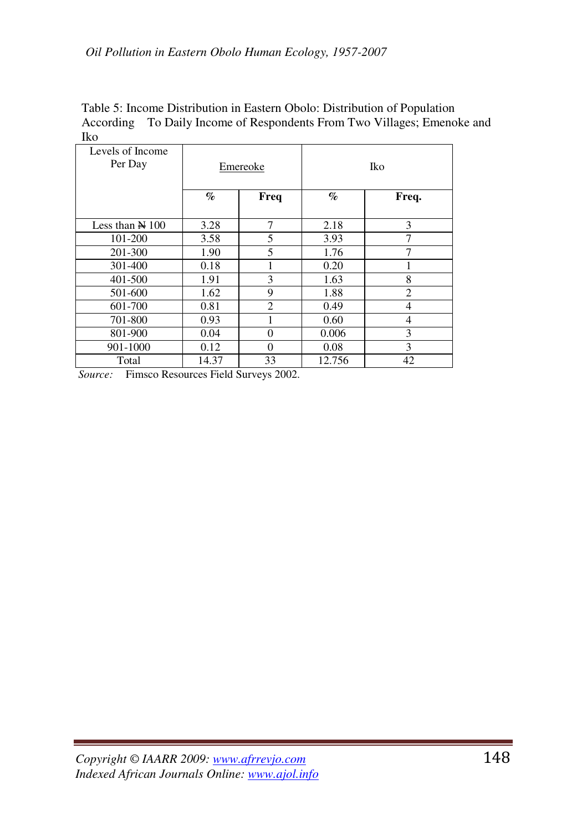| Levels of Income<br>Per Day | Emereoke |                | Iko    |                |  |
|-----------------------------|----------|----------------|--------|----------------|--|
|                             | $\%$     | Freq           | $\%$   | Freq.          |  |
| Less than $N$ 100           | 3.28     | 7              | 2.18   | 3              |  |
| 101-200                     | 3.58     | 5              | 3.93   | 7              |  |
| 201-300                     | 1.90     | 5              | 1.76   | 7              |  |
| 301-400                     | 0.18     | 1              | 0.20   |                |  |
| 401-500                     | 1.91     | 3              | 1.63   | 8              |  |
| 501-600                     | 1.62     | 9              | 1.88   | $\overline{c}$ |  |
| 601-700                     | 0.81     | $\overline{c}$ | 0.49   | 4              |  |
| 701-800                     | 0.93     | 1              | 0.60   | 4              |  |
| 801-900                     | 0.04     | $\theta$       | 0.006  | 3              |  |
| 901-1000                    | 0.12     | $\Omega$       | 0.08   | 3              |  |
| Total                       | 14.37    | 33             | 12.756 | 42             |  |

Table 5: Income Distribution in Eastern Obolo: Distribution of Population According To Daily Income of Respondents From Two Villages; Emenoke and Iko

 *Source:* Fimsco Resources Field Surveys 2002.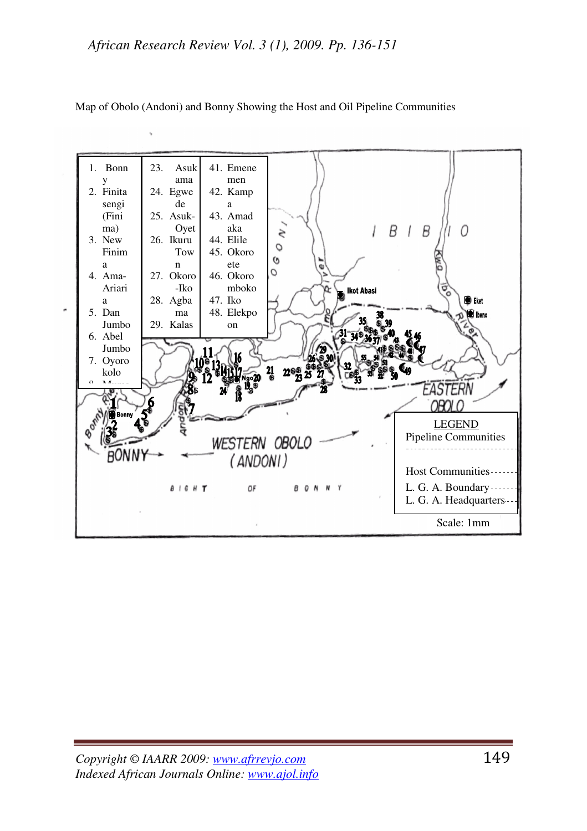#### *African Research Review Vol. 3 (1), 2009. Pp. 136-151*



Map of Obolo (Andoni) and Bonny Showing the Host and Oil Pipeline Communities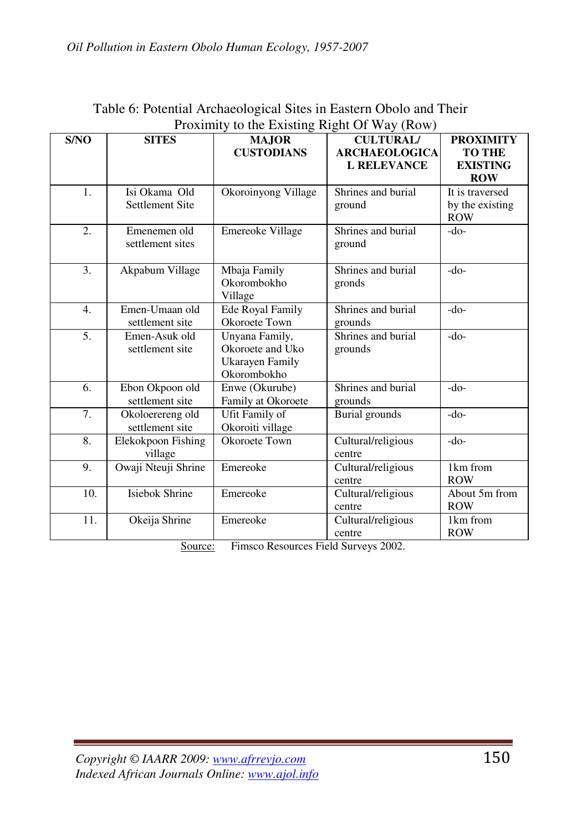| S/NO             | <b>SITES</b>                            | <b>MAJOR</b>                                                         | <b>CULTURAL/</b>                           | <b>PROXIMITY</b>                                 |
|------------------|-----------------------------------------|----------------------------------------------------------------------|--------------------------------------------|--------------------------------------------------|
|                  |                                         | <b>CUSTODIANS</b>                                                    | <b>ARCHAEOLOGICA</b><br><b>L RELEVANCE</b> | <b>TO THE</b><br><b>EXISTING</b><br><b>ROW</b>   |
| 1.               | Isi Okama Old<br><b>Settlement Site</b> | Okoroinyong Village                                                  | Shrines and burial<br>ground               | It is traversed<br>by the existing<br><b>ROW</b> |
| $\overline{2}$ . | Emenemen old<br>settlement sites        | Emereoke Village                                                     | Shrines and burial<br>ground               | -do-                                             |
| 3.               | Akpabum Village                         | Mbaja Family<br>Okorombokho<br>Village                               | Shrines and burial<br>gronds               | $-do-$                                           |
| 4.               | Emen-Umaan old<br>settlement site       | Ede Royal Family<br>Okoroete Town                                    | Shrines and burial<br>grounds              | $-do-$                                           |
| 5.               | Emen-Asuk old<br>settlement site        | Unyana Family,<br>Okoroete and Uko<br>Ukarayen Family<br>Okorombokho | Shrines and burial<br>grounds              | $-do-$                                           |
| 6.               | Ebon Okpoon old<br>settlement site      | Enwe (Okurube)<br>Family at Okoroete                                 | Shrines and burial<br>grounds              | $-do-$                                           |
| 7.               | Okoloerereng old<br>settlement site     | Ufit Family of<br>Okoroiti village                                   | Burial grounds                             | $-do-$                                           |
| 8.               | Elekokpoon Fishing<br>village           | Okoroete Town                                                        | Cultural/religious<br>centre               | $-do-$                                           |
| 9.               | Owaji Nteuji Shrine                     | Emereoke                                                             | Cultural/religious<br>centre               | 1km from<br><b>ROW</b>                           |
| 10.              | Isiebok Shrine                          | Emereoke                                                             | Cultural/religious<br>centre               | About 5m from<br><b>ROW</b>                      |
| 11.              | Okeija Shrine                           | Emereoke                                                             | Cultural/religious<br>centre               | 1km from<br><b>ROW</b>                           |

## Table 6: Potential Archaeological Sites in Eastern Obolo and Their Proximity to the Existing Right Of Way (Row)

Source: Fimsco Resources Field Surveys 2002.